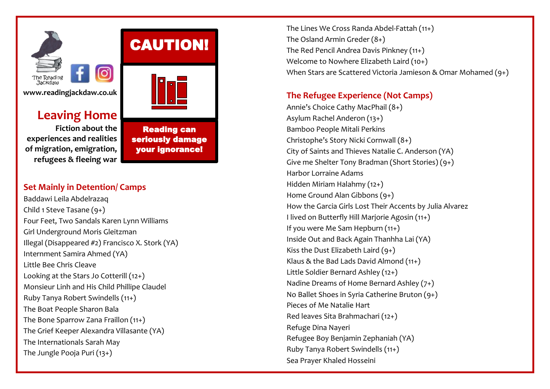

# **Leaving Home**

**Fiction about the experiences and realities of migration, emigration, refugees & fleeing war**



Reading can seriously damage your ignorance!

# **Set Mainly in Detention/ Camps**

Baddawi Leila Abdelrazaq Child 1 Steve Tasane (9+) Four Feet, Two Sandals Karen Lynn Williams Girl Underground Moris Gleitzman Illega[l \(Disappeared #2\)](https://www.goodreads.com/series/270716-disappeared) [Francisco X. Stork](https://www.goodreads.com/author/show/1379540.Francisco_X_Stork) (YA) Internment Samira Ahmed (YA) Little Bee Chris Cleave Looking at the Stars Jo Cotterill (12+) Monsieur Linh and His Child Phillipe Claudel Ruby Tanya Robert Swindells (11+) The Boat Peopl[e Sharon Bala](https://www.goodreads.com/author/show/16379953.Sharon_Bala) The Bone Sparrow Zana Fraillon (11+) The Grief Keeper Alexandra Villasante (YA) The Internationals Sarah May The Jungle Pooja Puri (13+)

The Lines We Cross [Randa Abdel-Fattah](https://www.lovereading4kids.co.uk/author/Randa-Abdel-Fattah/gd/Randa-Abdel-Fattah.html) (11+) The Osland Armin Greder (8+) The Red Pencil Andrea Davis Pinkney (11+) Welcome to Nowhere Elizabeth Laird (10+) When Stars are Scattered Victoria Jamieson & Omar Mohamed (9+)

# **The Refugee Experience (Not Camps)**

Annie's Choice Cathy MacPhail (8+) Asylum Rachel Anderon (13+) Bamboo People Mitali Perkins Christophe's Story Nicki Cornwall (8+) City of Saints and Thieves Natalie C. Anderson (YA) Give me Shelter Tony Bradman (Short Stories) (9+) Harbor Lorraine Adams Hidden Miriam Halahmy (12+) Home Ground Alan Gibbons (9+) How the Garcia Girls Lost Their Accents by Julia Alvarez I lived on Butterfly Hill Marjorie Agosin (11+) If you were Me Sam Hepburn (11+) Inside Out and Back Again Thanhha Lai (YA) Kiss the Dust Elizabeth Laird  $(9+)$ Klaus & the Bad Lads David Almond (11+) Little Soldier Bernard Ashley (12+) Nadine Dreams of Home Bernard Ashley (7+) No Ballet Shoes in Syria Catherine Bruton (9+) Pieces of Me Natalie Hart Red leaves Sita Brahmachari (12+) Refuge Dina Nayeri Refugee Boy Benjamin Zephaniah (YA) Ruby Tanya Robert Swindells (11+) Sea Prayer [Khaled Hosseini](https://www.google.co.uk/search?tbo=p&tbm=bks&q=inauthor:%22Khaled+Hosseini%22)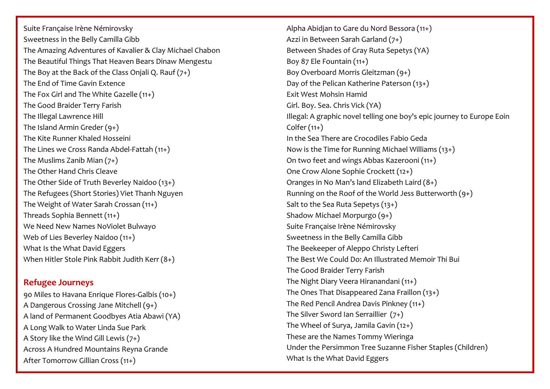[Suite Française](http://www.barnesandnoble.com/w/suite-francaise-irene-nemirovsky/1100267503?ean=9781400096275) Irène Némirovsky Sweetness in the Belly Camilla Gibb The Amazing Adventures of Kavalier & Clay Michael Chabon The Beautiful Things That Heaven Bears Dinaw Mengestu The Boy at the Back of the Class Onjali Q. Rauf  $(7+)$ The End of Time Gavin Extence The Fox Girl and The White Gazelle (11+) The Good Braider Terry Farish The Illegal Lawrence Hill The Island Armin Greder (9+) The Kite Runner Khaled Hosseini The Lines we Cross Randa Abdel-Fattah (11+) The Muslims Zanib Mian  $(7+)$ The Other Hand Chris Cleave The Other Side of Truth Beverley Naidoo (13+) The Refugees (Short Stories) Viet Thanh Nguyen The Weight of Water Sarah Crossan (11+) Threads Sophia Bennett (11+) We Need New Names NoViolet Bulwayo Web of Lies Beverley Naidoo (11+) What Is the What David Eggers When Hitler Stole Pink Rabbit Judith Kerr (8+)

### **Refugee Journeys**

90 Miles to Havana Enrique Flores-Galbis (10+) A Dangerous Crossing Jane Mitchell (9+) A land of Permanent Goodbyes [Atia Abawi](https://www.lovereading4kids.co.uk/author/Atia-Abawi/gd/Atia-Abawi.html) (YA) A Long Walk to Water Linda Sue Park A Story like the Wind Gill Lewis (7+) [Across A Hundred Mountains](http://www.barnesandnoble.com/w/across-a-hundred-mountains-reyna-grande/1100625790?ean=9780743269582) Reyna Grande After Tomorrow Gillian Cross (11+)

Alpha Abidjan to Gare du Nord [Bessora](https://www.lovereading4kids.co.uk/author/4472/Bessora.html) (11+) Azzi in Between Sarah Garland (7+) Between Shades of Gray Ruta Sepetys (YA) Boy 87 Ele Fountain (11+) Boy Overboard Morris Gleitzman (9+) Day of the Pelican Katherine Paterson (13+) Exit West Mohsin Hamid Girl. Boy. Sea. Chris Vick (YA) Illegal: A graphic novel telling one boy's epic journey to Europe Eoin  $Colfer(11+)$ In the Sea There are Crocodiles Fabio Geda Now is the Time for Running Michael Williams (13+) On two feet and wings Abbas Kazerooni (11+) One Crow Alone Sophie Crockett (12+) Oranges in No Man's land Elizabeth Laird (8+) Running on the Roof of the World Jess Butterworth (9+) Salt to the Sea Ruta Sepetys (13+) Shadow Michael Morpurgo (9+) [Suite Française](http://www.barnesandnoble.com/w/suite-francaise-irene-nemirovsky/1100267503?ean=9781400096275) Irène Némirovsky Sweetness in the Belly Camilla Gibb The Beekeeper of Aleppo Christy Lefteri The Best We Could Do: An Illustrated Memoir Thi Bui The Good Braider Terry Farish The Night Diary [Veera Hiranandani](https://www.lovereading4kids.co.uk/author/Veera-Hiranandani/gd/Veera-Hiranandani.html) (11+) The Ones That Disappeared Zana Fraillon (13+) The Red Pencil Andrea Davis Pinkney (11+) The Silver Sword Ian Serraillier (7+) The Wheel of Surya, Jamila Gavin (12+) These are the Names Tommy Wieringa Under the Persimmon Tree Suzanne Fisher Staples (Children) What Is the What David Eggers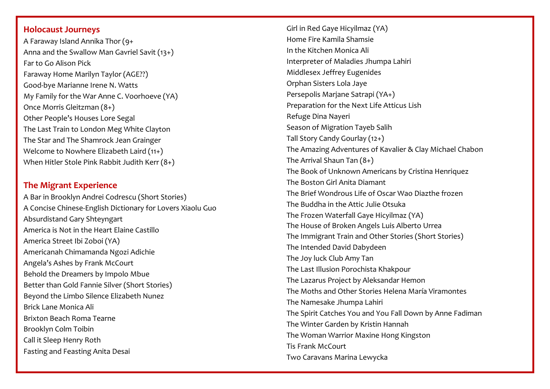#### **Holocaust Journeys**

A Faraway Island Annika Thor (9+ Anna and the Swallow Man Gavriel Savit (13+) Far to Go Alison Pick Faraway Home Marilyn Taylor (AGE??) Good-bye Marianne Irene N. Watts My Family for the War Anne C. Voorhoeve (YA) Once Morris Gleitzman (8+) Other People's Houses Lore Segal The Last Train to London Meg White Clayton The Star and The Shamrock Jean Grainger Welcome to Nowhere Elizabeth Laird (11+) When Hitler Stole Pink Rabbit Judith Kerr (8+)

## **The Migrant Experience**

A Bar in Brooklyn Andrei Codrescu (Short Stories) A Concise Chinese-English Dictionary for Lovers Xiaolu Guo Absurdistand Gary Shteyngart America is Not in the Heart Elaine Castillo America Street Ibi Zoboi (YA) Americanah Chimamanda Ngozi Adichie Angela's Ashes by Frank McCourt [Behold the Dreamers](https://www.amazon.com/Behold-Dreamers-Oprahs-Book-Club/dp/0525509712/ref=as_li_ss_tl?ie=UTF8&linkCode=ll1&tag=tastyjason-20&linkId=e0d92a6e5a1bc0cea2eda52ebe15a19f) by Impolo Mbue Better than Gold Fannie Silver (Short Stories) Beyond the Limbo Silence Elizabeth Nunez Brick Lane Monica Ali Brixton Beach Roma Tearne Brooklyn Colm Toibin Call it Sleep Henry Roth Fasting and Feasting Anita Desai

Girl in Red Gaye Hicyilmaz (YA) Home Fire Kamila Shamsie In the Kitchen Monica Ali Interpreter of Maladies Jhumpa Lahiri Middlesex Jeffrey Eugenides Orphan Sisters Lola Jaye Persepolis Marjane Satrapi (YA+) Preparation for the Next Life Atticus Lish Refuge Dina Nayeri Season of Migration Tayeb Salih Tall Story Candy Gourlay (12+) The Amazing Adventures of Kavalier & Clay Michael Chabon The Arrival Shaun Tan (8+) The Book of Unknown Americans by Cristina Henriquez The Boston Girl Anita Diamant The Brief Wondrous Life of Oscar Wao Diazthe frozen The Buddha in the Attic Julie Otsuka The Frozen Waterfall Gaye Hicyilmaz (YA) The House of Broken Angels Luis Alberto Urrea The Immigrant Train and Other Stories (Short Stories) The Intended David Dabydeen The Joy luck Club Amy Tan The Last Illusion Porochista Khakpour The Lazarus Project by Aleksandar Hemon The Moths and Other Stories Helena María Viramontes The Namesake Jhumpa Lahiri The Spirit Catches You and You Fall Down by Anne Fadiman The Winter Garden by Kristin Hannah The Woman Warrior Maxine Hong Kingston Tis Frank McCourt Two Caravans Marina Lewycka